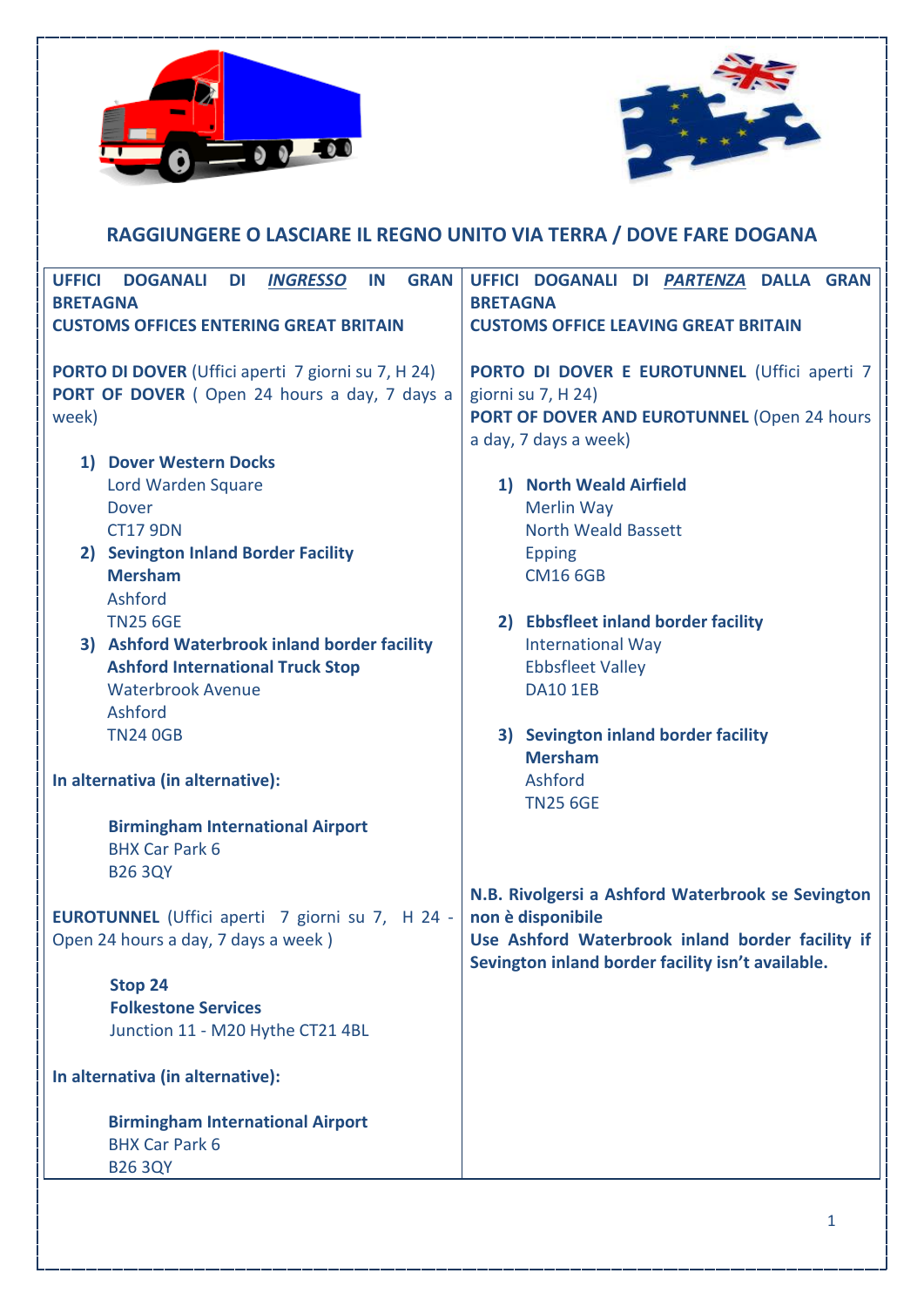



# **RAGGIUNGERE O LASCIARE IL REGNO UNITO VIA TERRA / DOVE FARE DOGANA**

| <b>GRAN</b><br><b>UFFICI</b><br><b>DOGANALI</b><br><b>INGRESSO</b><br>IN<br>DI                                                                                                                                                                                                                                                                                                                                                                    | UFFICI DOGANALI DI PARTENZA DALLA GRAN                                                                                                                                                                                                                                                                                                                                                                        |
|---------------------------------------------------------------------------------------------------------------------------------------------------------------------------------------------------------------------------------------------------------------------------------------------------------------------------------------------------------------------------------------------------------------------------------------------------|---------------------------------------------------------------------------------------------------------------------------------------------------------------------------------------------------------------------------------------------------------------------------------------------------------------------------------------------------------------------------------------------------------------|
| <b>BRETAGNA</b>                                                                                                                                                                                                                                                                                                                                                                                                                                   | <b>BRETAGNA</b>                                                                                                                                                                                                                                                                                                                                                                                               |
| <b>CUSTOMS OFFICES ENTERING GREAT BRITAIN</b>                                                                                                                                                                                                                                                                                                                                                                                                     | <b>CUSTOMS OFFICE LEAVING GREAT BRITAIN</b>                                                                                                                                                                                                                                                                                                                                                                   |
| <b>PORTO DI DOVER</b> (Uffici aperti 7 giorni su 7, H 24)<br>PORT OF DOVER (Open 24 hours a day, 7 days a<br>week)<br>1) Dover Western Docks<br>Lord Warden Square<br><b>Dover</b><br><b>CT17 9DN</b><br>2) Sevington Inland Border Facility<br><b>Mersham</b><br>Ashford<br><b>TN25 6GE</b><br>3) Ashford Waterbrook inland border facility<br><b>Ashford International Truck Stop</b><br><b>Waterbrook Avenue</b><br>Ashford<br><b>TN24 0GB</b> | PORTO DI DOVER E EUROTUNNEL (Uffici aperti 7<br>giorni su 7, H 24)<br>PORT OF DOVER AND EUROTUNNEL (Open 24 hours<br>a day, 7 days a week)<br>1) North Weald Airfield<br>Merlin Way<br><b>North Weald Bassett</b><br><b>Epping</b><br><b>CM16 6GB</b><br>2) Ebbsfleet inland border facility<br><b>International Way</b><br><b>Ebbsfleet Valley</b><br><b>DA10 1EB</b><br>3) Sevington inland border facility |
|                                                                                                                                                                                                                                                                                                                                                                                                                                                   | <b>Mersham</b>                                                                                                                                                                                                                                                                                                                                                                                                |
| In alternativa (in alternative):                                                                                                                                                                                                                                                                                                                                                                                                                  | Ashford<br><b>TN25 6GE</b>                                                                                                                                                                                                                                                                                                                                                                                    |
| <b>Birmingham International Airport</b><br><b>BHX Car Park 6</b><br><b>B26 3QY</b>                                                                                                                                                                                                                                                                                                                                                                | N.B. Rivolgersi a Ashford Waterbrook se Sevington                                                                                                                                                                                                                                                                                                                                                             |
| EUROTUNNEL (Uffici aperti 7 giorni su 7, H 24 -                                                                                                                                                                                                                                                                                                                                                                                                   | non è disponibile                                                                                                                                                                                                                                                                                                                                                                                             |
| Open 24 hours a day, 7 days a week)                                                                                                                                                                                                                                                                                                                                                                                                               | Use Ashford Waterbrook inland border facility if<br>Sevington inland border facility isn't available.                                                                                                                                                                                                                                                                                                         |
| Stop 24                                                                                                                                                                                                                                                                                                                                                                                                                                           |                                                                                                                                                                                                                                                                                                                                                                                                               |
| <b>Folkestone Services</b>                                                                                                                                                                                                                                                                                                                                                                                                                        |                                                                                                                                                                                                                                                                                                                                                                                                               |
| Junction 11 - M20 Hythe CT21 4BL                                                                                                                                                                                                                                                                                                                                                                                                                  |                                                                                                                                                                                                                                                                                                                                                                                                               |
| In alternativa (in alternative):                                                                                                                                                                                                                                                                                                                                                                                                                  |                                                                                                                                                                                                                                                                                                                                                                                                               |
| <b>Birmingham International Airport</b><br><b>BHX Car Park 6</b><br><b>B26 3QY</b>                                                                                                                                                                                                                                                                                                                                                                |                                                                                                                                                                                                                                                                                                                                                                                                               |
|                                                                                                                                                                                                                                                                                                                                                                                                                                                   |                                                                                                                                                                                                                                                                                                                                                                                                               |